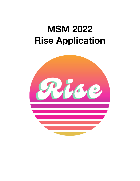# **MSM 2022 Rise Application**

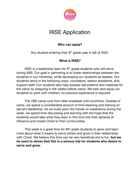

# RISE Application

#### **Who can apply?**

Any student entering their  $8<sup>th</sup>$  grade year in fall of 2022.

#### **What is RISE?**

RISE is a leadership team for  $8<sup>th</sup>$  grade students who will serve during VBS. Our goal in partnering is to foster relationships between the students in our ministries, while developing our students as leaders. Our students serve in the following ways: counselors, station assistants, and support staff. Our students also help prepare decorations and materials for the camp by prepping in the weeks before camp. We train and equip our students to work with children; no previous experience is required.

The VBS camp runs from after breakfast until lunchtime. Outside of camp, we spend a considerable amount of time teaching and training on servant leadership. As we build upon the hands-on experience during the week, we spend time discussing and learning with the hope that the students would take what they learn in this time into their spheres of influence and model Christ to their communities.

This week is a great time for 8th grade students to grow and learn more about what it means to serve others and grow in their relationship with Christ. We believe this time can be very beneficial and is fun, **but we do want to stress that this is a serious trip for students who desire to serve and grow.**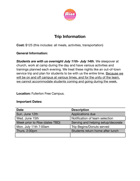

## **Trip Information**

**Cost:** \$125 (this includes: all meals, activities, transportation)

#### **General Information:**

*Students are with us overnight July 11th- July 14th*. We sleepover at church, work at camp during the day and have various activities and trainings planned each evening. We treat these nights like an out-of-town service trip and plan for students to be with us the entire time. Because we will be on and off campus at various times, and for the unity of the team, we cannot accommodate students coming and going during the week.

**Location:** Fullerton Free Campus.

#### **Important Dates:**

| <b>Date</b>                    | <b>Description</b>                 |
|--------------------------------|------------------------------------|
| Sun. June 12th                 | Applications due                   |
| Wed. June 15th                 | Notification of team selection     |
| Week prior to Rise (dates TBD) | Serving and helping setup/decorate |
| Mon. July 11th 7:00am          | <b>Trip Begins/Donuts served</b>   |
| Thurs. 2:00pm                  | Students return home after lunch   |
|                                |                                    |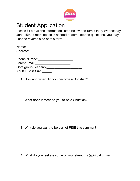

## Student Application

Please fill out all the information listed below and turn it in by Wednesday June 15th. If more space is needed to complete the questions, you may use the reverse side of this form.

Name: Address:

| <b>Phone Number</b>  |  |
|----------------------|--|
| Parent Email         |  |
| Core group Leader(s) |  |
| Adult T-Shirt Size   |  |

1. How and when did you become a Christian?

2. What does it mean to you to be a Christian?

3. Why do you want to be part of RISE this summer?

4. What do you feel are some of your strengths (spiritual gifts)?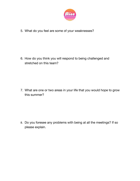

5. What do you feel are some of your weaknesses?

6. How do you think you will respond to being challenged and stretched on this team?

7. What are one or two areas in your life that you would hope to grow this summer?

8. Do you foresee any problems with being at all the meetings? If so please explain.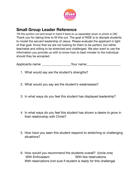

### **Small Group Leader Reference**

*\*fill this portion out and email or hand it back to us separately (scan or photo is OK)* Thank you for taking time to fill this out. The goal of RISE is to disciple students to model the servant leadership of Jesus. Please evaluate the applicant in light of that goal. Know that we are not looking for them to be perfect, but rather teachable and willing to be stretched and challenged. We also want to use the information you provide us with to know how to best minster to the individual should they be accepted.

Applicants name: \_\_\_\_\_\_\_\_\_\_\_\_\_\_\_\_\_\_Your name: \_\_\_\_\_\_\_\_\_\_\_\_\_\_\_\_\_\_\_\_\_\_\_\_\_\_\_\_\_\_\_\_\_\_

- 1. What would say are the student's strengths?
- 2. What would you say are the student's weaknesses?
- 3. In what ways do you feel this student has displayed leadership?
- 4. In what ways do you feel this student has shown a desire to grow in their relationship with Christ?
- 5. How have you seen this student respond to stretching or challenging situations?
- 6. How would you recommend the students overall? (circle one) With Enthusiasm With few reservations With reservations (not sure if student is ready for this challenge)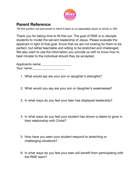

## **Parent Reference**

*\*fill this portion out and email or hand it back to us separately (scan or photo is OK)*

Thank you for taking time to fill this out. The goal of RISE is to disciple students to model the servant leadership of Jesus. Please evaluate the applicant in light of that goal. Know that we are not looking for them to be perfect, but rather teachable and willing to be stretched and challenged. We also want to use the information you provide us with to know how to best minster to the individual should they be accepted.

Applicants name: \_\_\_\_\_\_\_\_\_\_\_\_\_\_\_\_\_\_\_\_ Your name:\_\_\_\_\_\_\_\_\_\_\_\_\_\_\_\_\_\_\_\_

- 1. What would say are your son or daughter's strengths?
- 2. What would you say are your son or daughter's weaknesses?
- 3. In what ways do you feel your teen has displayed leadership?
- 4. In what ways do you feel your student has shown a desire to grow in their relationship with Christ?
- 5. How have you seen your student respond to stretching or challenging situations?
- 6. In what ways do you feel your teen will benefit from participating with the RISE team?